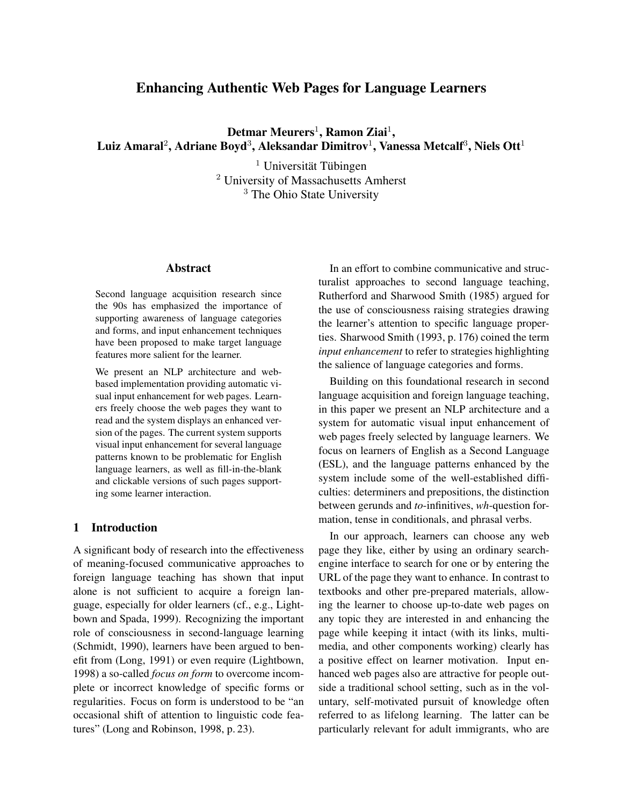# Enhancing Authentic Web Pages for Language Learners

 $\rm \bf Det$ mar  $\rm \bf Meurers^1$ ,  $\rm \bf Ramon~ Ziai^1,$ Luiz Amaral $^2$ , Adriane Boyd $^3$ , Aleksandar Dimitrov $^1$ , Vanessa Metcalf $^3$ , Niels Ott $^1$ 

> $1$  Universität Tübingen <sup>2</sup> University of Massachusetts Amherst <sup>3</sup> The Ohio State University

## Abstract

Second language acquisition research since the 90s has emphasized the importance of supporting awareness of language categories and forms, and input enhancement techniques have been proposed to make target language features more salient for the learner.

We present an NLP architecture and webbased implementation providing automatic visual input enhancement for web pages. Learners freely choose the web pages they want to read and the system displays an enhanced version of the pages. The current system supports visual input enhancement for several language patterns known to be problematic for English language learners, as well as fill-in-the-blank and clickable versions of such pages supporting some learner interaction.

## 1 Introduction

A significant body of research into the effectiveness of meaning-focused communicative approaches to foreign language teaching has shown that input alone is not sufficient to acquire a foreign language, especially for older learners (cf., e.g., Lightbown and Spada, 1999). Recognizing the important role of consciousness in second-language learning (Schmidt, 1990), learners have been argued to benefit from (Long, 1991) or even require (Lightbown, 1998) a so-called *focus on form* to overcome incomplete or incorrect knowledge of specific forms or regularities. Focus on form is understood to be "an occasional shift of attention to linguistic code features" (Long and Robinson, 1998, p. 23).

In an effort to combine communicative and structuralist approaches to second language teaching, Rutherford and Sharwood Smith (1985) argued for the use of consciousness raising strategies drawing the learner's attention to specific language properties. Sharwood Smith (1993, p. 176) coined the term *input enhancement* to refer to strategies highlighting the salience of language categories and forms.

Building on this foundational research in second language acquisition and foreign language teaching, in this paper we present an NLP architecture and a system for automatic visual input enhancement of web pages freely selected by language learners. We focus on learners of English as a Second Language (ESL), and the language patterns enhanced by the system include some of the well-established difficulties: determiners and prepositions, the distinction between gerunds and *to*-infinitives, *wh*-question formation, tense in conditionals, and phrasal verbs.

In our approach, learners can choose any web page they like, either by using an ordinary searchengine interface to search for one or by entering the URL of the page they want to enhance. In contrast to textbooks and other pre-prepared materials, allowing the learner to choose up-to-date web pages on any topic they are interested in and enhancing the page while keeping it intact (with its links, multimedia, and other components working) clearly has a positive effect on learner motivation. Input enhanced web pages also are attractive for people outside a traditional school setting, such as in the voluntary, self-motivated pursuit of knowledge often referred to as lifelong learning. The latter can be particularly relevant for adult immigrants, who are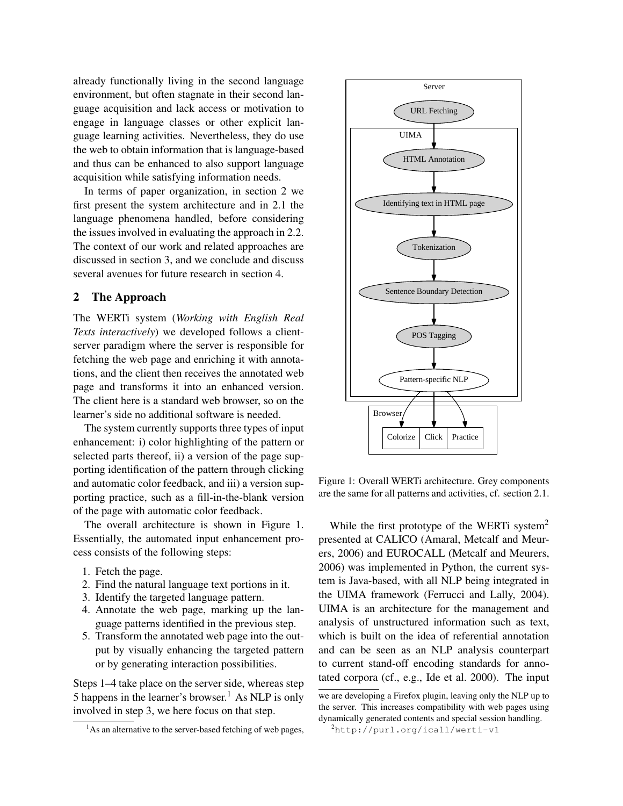already functionally living in the second language environment, but often stagnate in their second language acquisition and lack access or motivation to engage in language classes or other explicit language learning activities. Nevertheless, they do use the web to obtain information that is language-based and thus can be enhanced to also support language acquisition while satisfying information needs.

In terms of paper organization, in section 2 we first present the system architecture and in 2.1 the language phenomena handled, before considering the issues involved in evaluating the approach in 2.2. The context of our work and related approaches are discussed in section 3, and we conclude and discuss several avenues for future research in section 4.

## 2 The Approach

The WERTi system (*Working with English Real Texts interactively*) we developed follows a clientserver paradigm where the server is responsible for fetching the web page and enriching it with annotations, and the client then receives the annotated web page and transforms it into an enhanced version. The client here is a standard web browser, so on the learner's side no additional software is needed.

The system currently supports three types of input enhancement: i) color highlighting of the pattern or selected parts thereof, ii) a version of the page supporting identification of the pattern through clicking and automatic color feedback, and iii) a version supporting practice, such as a fill-in-the-blank version of the page with automatic color feedback.

The overall architecture is shown in Figure 1. Essentially, the automated input enhancement process consists of the following steps:

- 1. Fetch the page.
- 2. Find the natural language text portions in it.
- 3. Identify the targeted language pattern.
- 4. Annotate the web page, marking up the language patterns identified in the previous step.
- 5. Transform the annotated web page into the output by visually enhancing the targeted pattern or by generating interaction possibilities.

Steps 1–4 take place on the server side, whereas step 5 happens in the learner's browser.<sup>1</sup> As NLP is only involved in step 3, we here focus on that step.



Figure 1: Overall WERTi architecture. Grey components are the same for all patterns and activities, cf. section 2.1.

While the first prototype of the WERTi system<sup>2</sup> presented at CALICO (Amaral, Metcalf and Meurers, 2006) and EUROCALL (Metcalf and Meurers, 2006) was implemented in Python, the current system is Java-based, with all NLP being integrated in the UIMA framework (Ferrucci and Lally, 2004). UIMA is an architecture for the management and analysis of unstructured information such as text, which is built on the idea of referential annotation and can be seen as an NLP analysis counterpart to current stand-off encoding standards for annotated corpora (cf., e.g., Ide et al. 2000). The input

 $<sup>1</sup>$ As an alternative to the server-based fetching of web pages,</sup>

we are developing a Firefox plugin, leaving only the NLP up to the server. This increases compatibility with web pages using dynamically generated contents and special session handling.

 $^{2}$ http://purl.org/icall/werti-v1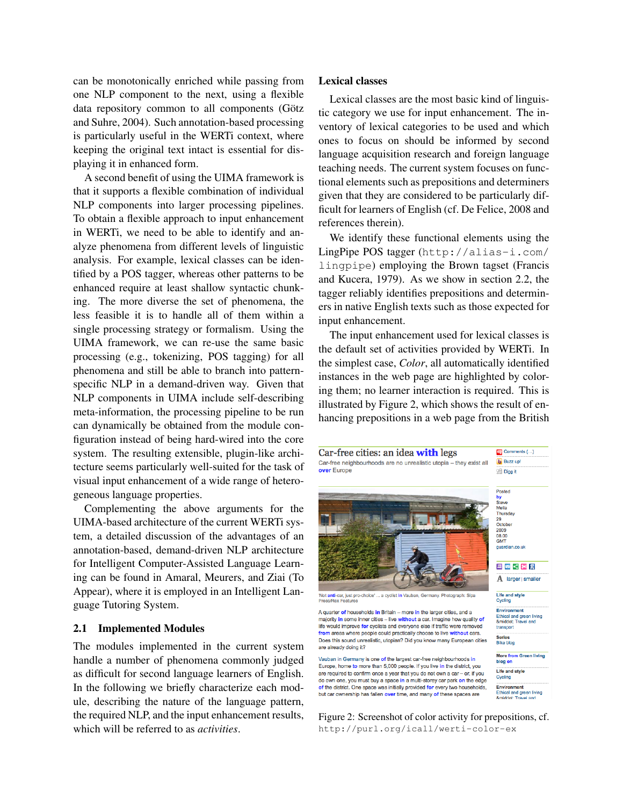can be monotonically enriched while passing from one NLP component to the next, using a flexible data repository common to all components (Götz and Suhre, 2004). Such annotation-based processing is particularly useful in the WERTi context, where keeping the original text intact is essential for displaying it in enhanced form.

A second benefit of using the UIMA framework is that it supports a flexible combination of individual NLP components into larger processing pipelines. To obtain a flexible approach to input enhancement in WERTi, we need to be able to identify and analyze phenomena from different levels of linguistic analysis. For example, lexical classes can be identified by a POS tagger, whereas other patterns to be enhanced require at least shallow syntactic chunking. The more diverse the set of phenomena, the less feasible it is to handle all of them within a single processing strategy or formalism. Using the UIMA framework, we can re-use the same basic processing (e.g., tokenizing, POS tagging) for all phenomena and still be able to branch into patternspecific NLP in a demand-driven way. Given that NLP components in UIMA include self-describing meta-information, the processing pipeline to be run can dynamically be obtained from the module configuration instead of being hard-wired into the core system. The resulting extensible, plugin-like architecture seems particularly well-suited for the task of visual input enhancement of a wide range of heterogeneous language properties.

Complementing the above arguments for the UIMA-based architecture of the current WERTi system, a detailed discussion of the advantages of an annotation-based, demand-driven NLP architecture for Intelligent Computer-Assisted Language Learning can be found in Amaral, Meurers, and Ziai (To Appear), where it is employed in an Intelligent Language Tutoring System.

## 2.1 Implemented Modules

The modules implemented in the current system handle a number of phenomena commonly judged as difficult for second language learners of English. In the following we briefly characterize each module, describing the nature of the language pattern, the required NLP, and the input enhancement results, which will be referred to as *activities*.

#### Lexical classes

Lexical classes are the most basic kind of linguistic category we use for input enhancement. The inventory of lexical categories to be used and which ones to focus on should be informed by second language acquisition research and foreign language teaching needs. The current system focuses on functional elements such as prepositions and determiners given that they are considered to be particularly difficult for learners of English (cf. De Felice, 2008 and references therein).

We identify these functional elements using the LingPipe POS tagger (http://alias-i.com/ lingpipe) employing the Brown tagset (Francis and Kucera, 1979). As we show in section 2.2, the tagger reliably identifies prepositions and determiners in native English texts such as those expected for input enhancement.

The input enhancement used for lexical classes is the default set of activities provided by WERTi. In the simplest case, *Color*, all automatically identified instances in the web page are highlighted by coloring them; no learner interaction is required. This is illustrated by Figure 2, which shows the result of enhancing prepositions in a web page from the British



Figure 2: Screenshot of color activity for prepositions, cf. http://purl.org/icall/werti-color-ex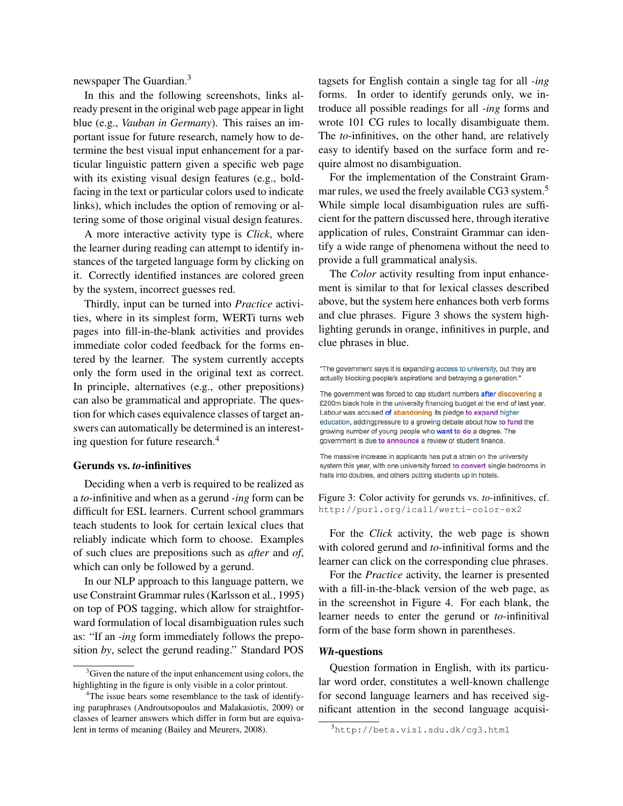newspaper The Guardian.<sup>3</sup>

In this and the following screenshots, links already present in the original web page appear in light blue (e.g., *Vauban in Germany*). This raises an important issue for future research, namely how to determine the best visual input enhancement for a particular linguistic pattern given a specific web page with its existing visual design features (e.g., boldfacing in the text or particular colors used to indicate links), which includes the option of removing or altering some of those original visual design features.

A more interactive activity type is *Click*, where the learner during reading can attempt to identify instances of the targeted language form by clicking on it. Correctly identified instances are colored green by the system, incorrect guesses red.

Thirdly, input can be turned into *Practice* activities, where in its simplest form, WERTi turns web pages into fill-in-the-blank activities and provides immediate color coded feedback for the forms entered by the learner. The system currently accepts only the form used in the original text as correct. In principle, alternatives (e.g., other prepositions) can also be grammatical and appropriate. The question for which cases equivalence classes of target answers can automatically be determined is an interesting question for future research.<sup>4</sup>

#### Gerunds vs. *to*-infinitives

Deciding when a verb is required to be realized as a *to*-infinitive and when as a gerund *-ing* form can be difficult for ESL learners. Current school grammars teach students to look for certain lexical clues that reliably indicate which form to choose. Examples of such clues are prepositions such as *after* and *of*, which can only be followed by a gerund.

In our NLP approach to this language pattern, we use Constraint Grammar rules (Karlsson et al., 1995) on top of POS tagging, which allow for straightforward formulation of local disambiguation rules such as: "If an *-ing* form immediately follows the preposition *by*, select the gerund reading." Standard POS

tagsets for English contain a single tag for all *-ing* forms. In order to identify gerunds only, we introduce all possible readings for all *-ing* forms and wrote 101 CG rules to locally disambiguate them. The *to*-infinitives, on the other hand, are relatively easy to identify based on the surface form and require almost no disambiguation.

For the implementation of the Constraint Grammar rules, we used the freely available CG3 system.<sup>5</sup> While simple local disambiguation rules are sufficient for the pattern discussed here, through iterative application of rules, Constraint Grammar can identify a wide range of phenomena without the need to provide a full grammatical analysis.

The *Color* activity resulting from input enhancement is similar to that for lexical classes described above, but the system here enhances both verb forms and clue phrases. Figure 3 shows the system highlighting gerunds in orange, infinitives in purple, and clue phrases in blue.

"The government says it is expanding access to university, but they are actually blocking people's aspirations and betraying a generation."

The government was forced to cap student numbers after discovering a £200m black hole in the university financing budget at the end of last year. Labour was accused of abandoning its pledge to expand higher education, addingpressure to a growing debate about how to fund the growing number of young people who want to do a degree. The government is due to announce a review of student finance.

The massive increase in applicants has put a strain on the university system this year, with one university forced to convert single bedrooms in halls into doubles, and others putting students up in hotels.

Figure 3: Color activity for gerunds vs. *to*-infinitives, cf. http://purl.org/icall/werti-color-ex2

For the *Click* activity, the web page is shown with colored gerund and *to*-infinitival forms and the learner can click on the corresponding clue phrases.

For the *Practice* activity, the learner is presented with a fill-in-the-black version of the web page, as in the screenshot in Figure 4. For each blank, the learner needs to enter the gerund or *to*-infinitival form of the base form shown in parentheses.

#### *Wh*-questions

Question formation in English, with its particular word order, constitutes a well-known challenge for second language learners and has received significant attention in the second language acquisi-

<sup>&</sup>lt;sup>3</sup>Given the nature of the input enhancement using colors, the highlighting in the figure is only visible in a color printout.

<sup>&</sup>lt;sup>4</sup>The issue bears some resemblance to the task of identifying paraphrases (Androutsopoulos and Malakasiotis, 2009) or classes of learner answers which differ in form but are equivalent in terms of meaning (Bailey and Meurers, 2008).

<sup>5</sup>http://beta.visl.sdu.dk/cg3.html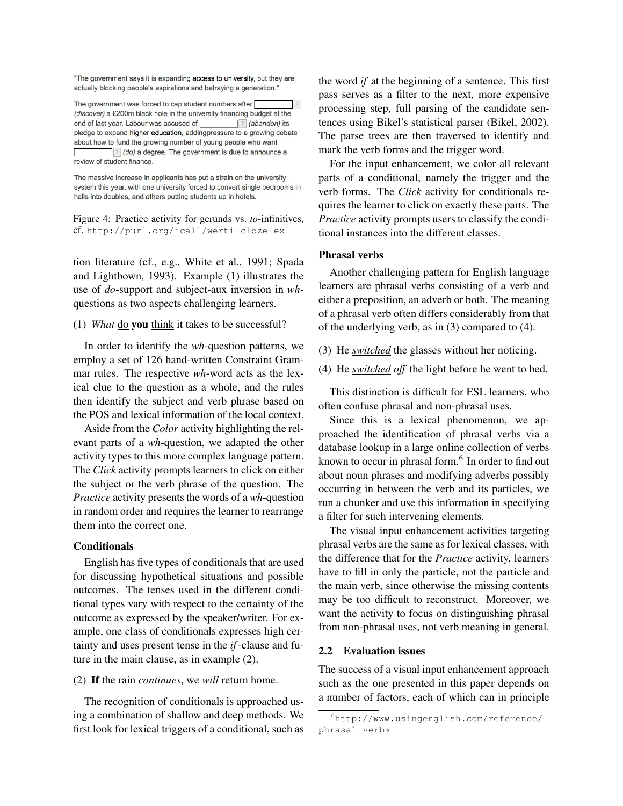"The government says it is expanding access to university, but they are actually blocking people's aspirations and betraying a generation."

The government was forced to cap student numbers after  $|2|$ (discover) a £200m black hole in the university financing budget at the end of last year. Labour was accused of ? (abandon) its pledge to expand higher education, addingpressure to a growing debate about how to fund the growing number of young people who want ? (do) a degree. The government is due to announce a review of student finance.

The massive increase in applicants has put a strain on the university system this year, with one university forced to convert single bedrooms in halls into doubles, and others putting students up in hotels.

Figure 4: Practice activity for gerunds vs. *to*-infinitives, cf. http://purl.org/icall/werti-cloze-ex

tion literature (cf., e.g., White et al., 1991; Spada and Lightbown, 1993). Example (1) illustrates the use of *do*-support and subject-aux inversion in *wh*questions as two aspects challenging learners.

### (1) *What* do you think it takes to be successful?

In order to identify the *wh*-question patterns, we employ a set of 126 hand-written Constraint Grammar rules. The respective *wh*-word acts as the lexical clue to the question as a whole, and the rules then identify the subject and verb phrase based on the POS and lexical information of the local context.

Aside from the *Color* activity highlighting the relevant parts of a *wh*-question, we adapted the other activity types to this more complex language pattern. The *Click* activity prompts learners to click on either the subject or the verb phrase of the question. The *Practice* activity presents the words of a *wh*-question in random order and requires the learner to rearrange them into the correct one.

## **Conditionals**

English has five types of conditionals that are used for discussing hypothetical situations and possible outcomes. The tenses used in the different conditional types vary with respect to the certainty of the outcome as expressed by the speaker/writer. For example, one class of conditionals expresses high certainty and uses present tense in the *if*-clause and future in the main clause, as in example (2).

#### (2) If the rain *continues*, we *will* return home.

The recognition of conditionals is approached using a combination of shallow and deep methods. We first look for lexical triggers of a conditional, such as

the word *if* at the beginning of a sentence. This first pass serves as a filter to the next, more expensive processing step, full parsing of the candidate sentences using Bikel's statistical parser (Bikel, 2002). The parse trees are then traversed to identify and mark the verb forms and the trigger word.

For the input enhancement, we color all relevant parts of a conditional, namely the trigger and the verb forms. The *Click* activity for conditionals requires the learner to click on exactly these parts. The *Practice* activity prompts users to classify the conditional instances into the different classes.

#### Phrasal verbs

Another challenging pattern for English language learners are phrasal verbs consisting of a verb and either a preposition, an adverb or both. The meaning of a phrasal verb often differs considerably from that of the underlying verb, as in (3) compared to (4).

- (3) He *switched* the glasses without her noticing.
- (4) He *switched off* the light before he went to bed.

This distinction is difficult for ESL learners, who often confuse phrasal and non-phrasal uses.

Since this is a lexical phenomenon, we approached the identification of phrasal verbs via a database lookup in a large online collection of verbs known to occur in phrasal form.<sup>6</sup> In order to find out about noun phrases and modifying adverbs possibly occurring in between the verb and its particles, we run a chunker and use this information in specifying a filter for such intervening elements.

The visual input enhancement activities targeting phrasal verbs are the same as for lexical classes, with the difference that for the *Practice* activity, learners have to fill in only the particle, not the particle and the main verb, since otherwise the missing contents may be too difficult to reconstruct. Moreover, we want the activity to focus on distinguishing phrasal from non-phrasal uses, not verb meaning in general.

### 2.2 Evaluation issues

The success of a visual input enhancement approach such as the one presented in this paper depends on a number of factors, each of which can in principle

<sup>6</sup>http://www.usingenglish.com/reference/ phrasal-verbs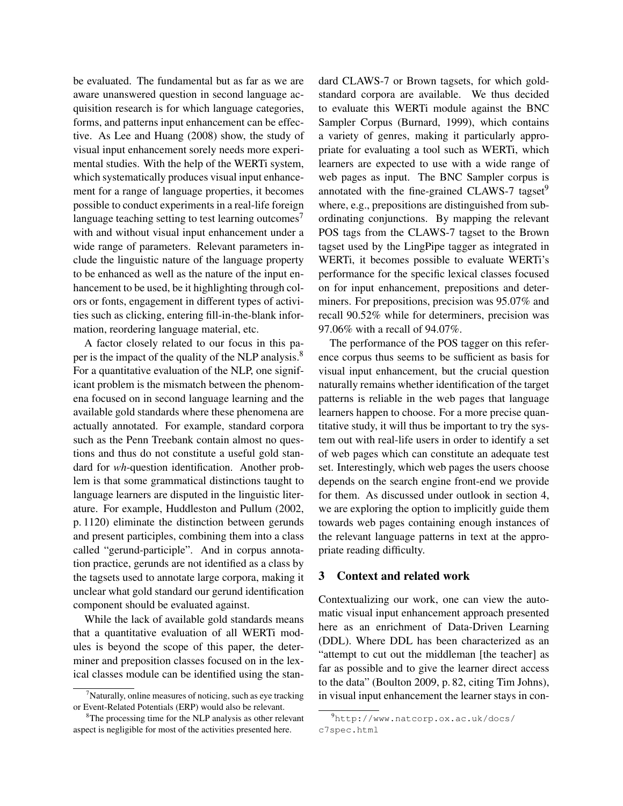be evaluated. The fundamental but as far as we are aware unanswered question in second language acquisition research is for which language categories, forms, and patterns input enhancement can be effective. As Lee and Huang (2008) show, the study of visual input enhancement sorely needs more experimental studies. With the help of the WERTi system, which systematically produces visual input enhancement for a range of language properties, it becomes possible to conduct experiments in a real-life foreign language teaching setting to test learning outcomes<sup>7</sup> with and without visual input enhancement under a wide range of parameters. Relevant parameters include the linguistic nature of the language property to be enhanced as well as the nature of the input enhancement to be used, be it highlighting through colors or fonts, engagement in different types of activities such as clicking, entering fill-in-the-blank information, reordering language material, etc.

A factor closely related to our focus in this paper is the impact of the quality of the NLP analysis.<sup>8</sup> For a quantitative evaluation of the NLP, one significant problem is the mismatch between the phenomena focused on in second language learning and the available gold standards where these phenomena are actually annotated. For example, standard corpora such as the Penn Treebank contain almost no questions and thus do not constitute a useful gold standard for *wh*-question identification. Another problem is that some grammatical distinctions taught to language learners are disputed in the linguistic literature. For example, Huddleston and Pullum (2002, p. 1120) eliminate the distinction between gerunds and present participles, combining them into a class called "gerund-participle". And in corpus annotation practice, gerunds are not identified as a class by the tagsets used to annotate large corpora, making it unclear what gold standard our gerund identification component should be evaluated against.

While the lack of available gold standards means that a quantitative evaluation of all WERTi modules is beyond the scope of this paper, the determiner and preposition classes focused on in the lexical classes module can be identified using the standard CLAWS-7 or Brown tagsets, for which goldstandard corpora are available. We thus decided to evaluate this WERTi module against the BNC Sampler Corpus (Burnard, 1999), which contains a variety of genres, making it particularly appropriate for evaluating a tool such as WERTi, which learners are expected to use with a wide range of web pages as input. The BNC Sampler corpus is annotated with the fine-grained CLAWS-7 tagset $9$ where, e.g., prepositions are distinguished from subordinating conjunctions. By mapping the relevant POS tags from the CLAWS-7 tagset to the Brown tagset used by the LingPipe tagger as integrated in WERTi, it becomes possible to evaluate WERTi's performance for the specific lexical classes focused on for input enhancement, prepositions and determiners. For prepositions, precision was 95.07% and recall 90.52% while for determiners, precision was 97.06% with a recall of 94.07%.

The performance of the POS tagger on this reference corpus thus seems to be sufficient as basis for visual input enhancement, but the crucial question naturally remains whether identification of the target patterns is reliable in the web pages that language learners happen to choose. For a more precise quantitative study, it will thus be important to try the system out with real-life users in order to identify a set of web pages which can constitute an adequate test set. Interestingly, which web pages the users choose depends on the search engine front-end we provide for them. As discussed under outlook in section 4, we are exploring the option to implicitly guide them towards web pages containing enough instances of the relevant language patterns in text at the appropriate reading difficulty.

## 3 Context and related work

Contextualizing our work, one can view the automatic visual input enhancement approach presented here as an enrichment of Data-Driven Learning (DDL). Where DDL has been characterized as an "attempt to cut out the middleman [the teacher] as far as possible and to give the learner direct access to the data" (Boulton 2009, p. 82, citing Tim Johns), in visual input enhancement the learner stays in con-

 $\alpha$ <sup>7</sup>Naturally, online measures of noticing, such as eye tracking or Event-Related Potentials (ERP) would also be relevant.

<sup>&</sup>lt;sup>8</sup>The processing time for the NLP analysis as other relevant aspect is negligible for most of the activities presented here.

<sup>9</sup>http://www.natcorp.ox.ac.uk/docs/ c7spec.html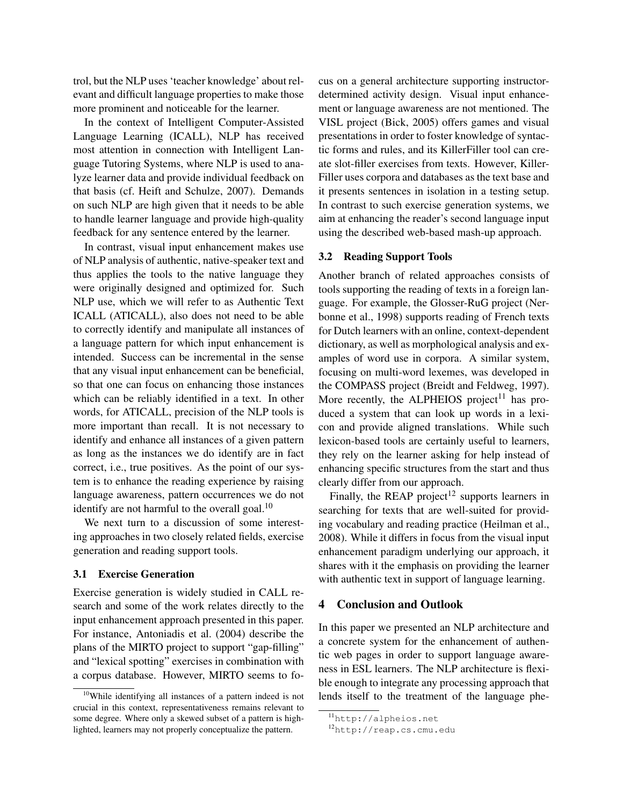trol, but the NLP uses 'teacher knowledge' about relevant and difficult language properties to make those more prominent and noticeable for the learner.

In the context of Intelligent Computer-Assisted Language Learning (ICALL), NLP has received most attention in connection with Intelligent Language Tutoring Systems, where NLP is used to analyze learner data and provide individual feedback on that basis (cf. Heift and Schulze, 2007). Demands on such NLP are high given that it needs to be able to handle learner language and provide high-quality feedback for any sentence entered by the learner.

In contrast, visual input enhancement makes use of NLP analysis of authentic, native-speaker text and thus applies the tools to the native language they were originally designed and optimized for. Such NLP use, which we will refer to as Authentic Text ICALL (ATICALL), also does not need to be able to correctly identify and manipulate all instances of a language pattern for which input enhancement is intended. Success can be incremental in the sense that any visual input enhancement can be beneficial, so that one can focus on enhancing those instances which can be reliably identified in a text. In other words, for ATICALL, precision of the NLP tools is more important than recall. It is not necessary to identify and enhance all instances of a given pattern as long as the instances we do identify are in fact correct, i.e., true positives. As the point of our system is to enhance the reading experience by raising language awareness, pattern occurrences we do not identify are not harmful to the overall goal. $^{10}$ 

We next turn to a discussion of some interesting approaches in two closely related fields, exercise generation and reading support tools.

### 3.1 Exercise Generation

Exercise generation is widely studied in CALL research and some of the work relates directly to the input enhancement approach presented in this paper. For instance, Antoniadis et al. (2004) describe the plans of the MIRTO project to support "gap-filling" and "lexical spotting" exercises in combination with a corpus database. However, MIRTO seems to focus on a general architecture supporting instructordetermined activity design. Visual input enhancement or language awareness are not mentioned. The VISL project (Bick, 2005) offers games and visual presentations in order to foster knowledge of syntactic forms and rules, and its KillerFiller tool can create slot-filler exercises from texts. However, Killer-Filler uses corpora and databases as the text base and it presents sentences in isolation in a testing setup. In contrast to such exercise generation systems, we aim at enhancing the reader's second language input using the described web-based mash-up approach.

## 3.2 Reading Support Tools

Another branch of related approaches consists of tools supporting the reading of texts in a foreign language. For example, the Glosser-RuG project (Nerbonne et al., 1998) supports reading of French texts for Dutch learners with an online, context-dependent dictionary, as well as morphological analysis and examples of word use in corpora. A similar system, focusing on multi-word lexemes, was developed in the COMPASS project (Breidt and Feldweg, 1997). More recently, the ALPHEIOS project<sup>11</sup> has produced a system that can look up words in a lexicon and provide aligned translations. While such lexicon-based tools are certainly useful to learners, they rely on the learner asking for help instead of enhancing specific structures from the start and thus clearly differ from our approach.

Finally, the REAP project<sup>12</sup> supports learners in searching for texts that are well-suited for providing vocabulary and reading practice (Heilman et al., 2008). While it differs in focus from the visual input enhancement paradigm underlying our approach, it shares with it the emphasis on providing the learner with authentic text in support of language learning.

## 4 Conclusion and Outlook

In this paper we presented an NLP architecture and a concrete system for the enhancement of authentic web pages in order to support language awareness in ESL learners. The NLP architecture is flexible enough to integrate any processing approach that lends itself to the treatment of the language phe-

<sup>&</sup>lt;sup>10</sup>While identifying all instances of a pattern indeed is not crucial in this context, representativeness remains relevant to some degree. Where only a skewed subset of a pattern is highlighted, learners may not properly conceptualize the pattern.

<sup>11</sup>http://alpheios.net

<sup>12</sup>http://reap.cs.cmu.edu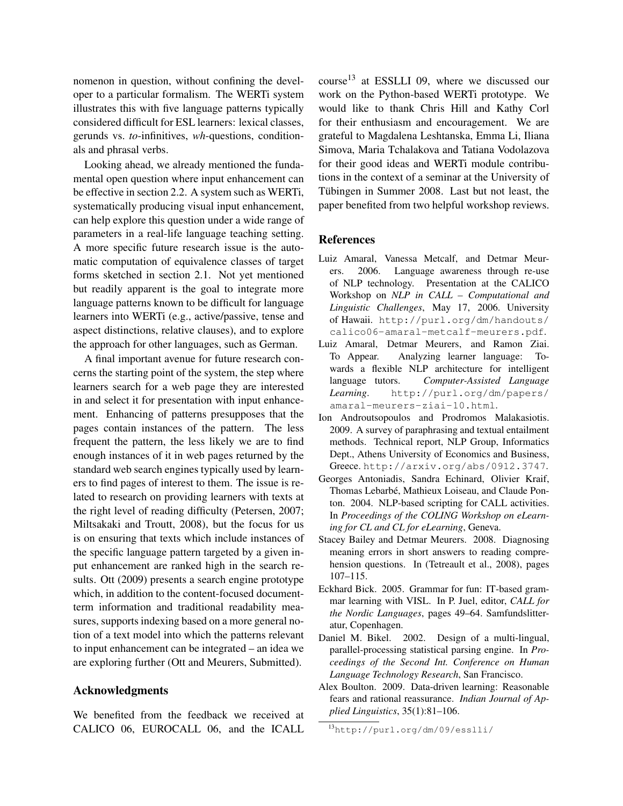nomenon in question, without confining the developer to a particular formalism. The WERTi system illustrates this with five language patterns typically considered difficult for ESL learners: lexical classes, gerunds vs. *to*-infinitives, *wh*-questions, conditionals and phrasal verbs.

Looking ahead, we already mentioned the fundamental open question where input enhancement can be effective in section 2.2. A system such as WERTi, systematically producing visual input enhancement, can help explore this question under a wide range of parameters in a real-life language teaching setting. A more specific future research issue is the automatic computation of equivalence classes of target forms sketched in section 2.1. Not yet mentioned but readily apparent is the goal to integrate more language patterns known to be difficult for language learners into WERTi (e.g., active/passive, tense and aspect distinctions, relative clauses), and to explore the approach for other languages, such as German.

A final important avenue for future research concerns the starting point of the system, the step where learners search for a web page they are interested in and select it for presentation with input enhancement. Enhancing of patterns presupposes that the pages contain instances of the pattern. The less frequent the pattern, the less likely we are to find enough instances of it in web pages returned by the standard web search engines typically used by learners to find pages of interest to them. The issue is related to research on providing learners with texts at the right level of reading difficulty (Petersen, 2007; Miltsakaki and Troutt, 2008), but the focus for us is on ensuring that texts which include instances of the specific language pattern targeted by a given input enhancement are ranked high in the search results. Ott (2009) presents a search engine prototype which, in addition to the content-focused documentterm information and traditional readability measures, supports indexing based on a more general notion of a text model into which the patterns relevant to input enhancement can be integrated – an idea we are exploring further (Ott and Meurers, Submitted).

## Acknowledgments

We benefited from the feedback we received at CALICO 06, EUROCALL 06, and the ICALL

course<sup>13</sup> at ESSLLI 09, where we discussed our work on the Python-based WERTi prototype. We would like to thank Chris Hill and Kathy Corl for their enthusiasm and encouragement. We are grateful to Magdalena Leshtanska, Emma Li, Iliana Simova, Maria Tchalakova and Tatiana Vodolazova for their good ideas and WERTi module contributions in the context of a seminar at the University of Tübingen in Summer 2008. Last but not least, the paper benefited from two helpful workshop reviews.

### References

- Luiz Amaral, Vanessa Metcalf, and Detmar Meurers. 2006. Language awareness through re-use of NLP technology. Presentation at the CALICO Workshop on *NLP in CALL – Computational and Linguistic Challenges*, May 17, 2006. University of Hawaii. http://purl.org/dm/handouts/ calico06-amaral-metcalf-meurers.pdf.
- Luiz Amaral, Detmar Meurers, and Ramon Ziai. To Appear. Analyzing learner language: Towards a flexible NLP architecture for intelligent language tutors. *Computer-Assisted Language Learning*. http://purl.org/dm/papers/ amaral-meurers-ziai-10.html.
- Ion Androutsopoulos and Prodromos Malakasiotis. 2009. A survey of paraphrasing and textual entailment methods. Technical report, NLP Group, Informatics Dept., Athens University of Economics and Business, Greece. http://arxiv.org/abs/0912.3747.
- Georges Antoniadis, Sandra Echinard, Olivier Kraif, Thomas Lebarbé, Mathieux Loiseau, and Claude Ponton. 2004. NLP-based scripting for CALL activities. In *Proceedings of the COLING Workshop on eLearning for CL and CL for eLearning*, Geneva.
- Stacey Bailey and Detmar Meurers. 2008. Diagnosing meaning errors in short answers to reading comprehension questions. In (Tetreault et al., 2008), pages 107–115.
- Eckhard Bick. 2005. Grammar for fun: IT-based grammar learning with VISL. In P. Juel, editor, *CALL for the Nordic Languages*, pages 49–64. Samfundslitteratur, Copenhagen.
- Daniel M. Bikel. 2002. Design of a multi-lingual, parallel-processing statistical parsing engine. In *Proceedings of the Second Int. Conference on Human Language Technology Research*, San Francisco.
- Alex Boulton. 2009. Data-driven learning: Reasonable fears and rational reassurance. *Indian Journal of Applied Linguistics*, 35(1):81–106.

<sup>13</sup>http://purl.org/dm/09/esslli/